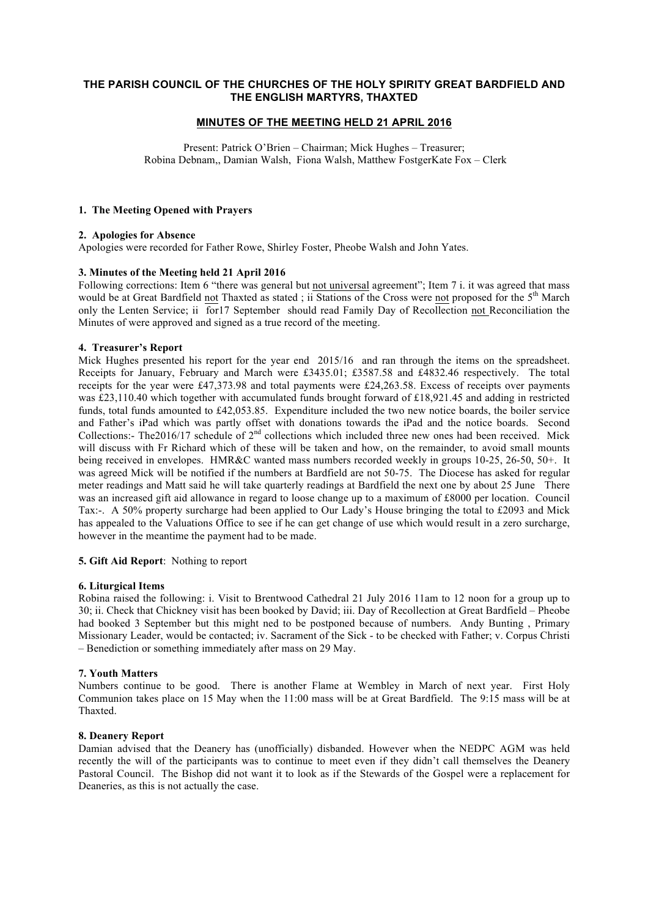# **THE PARISH COUNCIL OF THE CHURCHES OF THE HOLY SPIRITY GREAT BARDFIELD AND THE ENGLISH MARTYRS, THAXTED**

## **MINUTES OF THE MEETING HELD 21 APRIL 2016**

Present: Patrick O'Brien – Chairman; Mick Hughes – Treasurer; Robina Debnam,, Damian Walsh, Fiona Walsh, Matthew FostgerKate Fox – Clerk

#### **1. The Meeting Opened with Prayers**

## **2. Apologies for Absence**

Apologies were recorded for Father Rowe, Shirley Foster, Pheobe Walsh and John Yates.

## **3. Minutes of the Meeting held 21 April 2016**

Following corrections: Item 6 "there was general but not universal agreement"; Item 7 i. it was agreed that mass would be at Great Bardfield not Thaxted as stated; ii Stations of the Cross were not proposed for the 5<sup>th</sup> March only the Lenten Service; ii for17 September should read Family Day of Recollection not Reconciliation the Minutes of were approved and signed as a true record of the meeting.

## **4. Treasurer's Report**

Mick Hughes presented his report for the year end 2015/16 and ran through the items on the spreadsheet. Receipts for January, February and March were £3435.01; £3587.58 and £4832.46 respectively. The total receipts for the year were £47,373.98 and total payments were £24,263.58. Excess of receipts over payments was £23,110.40 which together with accumulated funds brought forward of £18,921.45 and adding in restricted funds, total funds amounted to £42,053.85. Expenditure included the two new notice boards, the boiler service and Father's iPad which was partly offset with donations towards the iPad and the notice boards. Second Collections:- The2016/17 schedule of  $2<sup>nd</sup>$  collections which included three new ones had been received. Mick will discuss with Fr Richard which of these will be taken and how, on the remainder, to avoid small mounts being received in envelopes. HMR&C wanted mass numbers recorded weekly in groups 10-25, 26-50, 50+. It was agreed Mick will be notified if the numbers at Bardfield are not 50-75. The Diocese has asked for regular meter readings and Matt said he will take quarterly readings at Bardfield the next one by about 25 June There was an increased gift aid allowance in regard to loose change up to a maximum of £8000 per location. Council Tax:-. A 50% property surcharge had been applied to Our Lady's House bringing the total to £2093 and Mick has appealed to the Valuations Office to see if he can get change of use which would result in a zero surcharge, however in the meantime the payment had to be made.

## **5. Gift Aid Report**: Nothing to report

## **6. Liturgical Items**

Robina raised the following: i. Visit to Brentwood Cathedral 21 July 2016 11am to 12 noon for a group up to 30; ii. Check that Chickney visit has been booked by David; iii. Day of Recollection at Great Bardfield – Pheobe had booked 3 September but this might ned to be postponed because of numbers. Andy Bunting, Primary Missionary Leader, would be contacted; iv. Sacrament of the Sick - to be checked with Father; v. Corpus Christi – Benediction or something immediately after mass on 29 May.

## **7. Youth Matters**

Numbers continue to be good. There is another Flame at Wembley in March of next year. First Holy Communion takes place on 15 May when the 11:00 mass will be at Great Bardfield. The 9:15 mass will be at Thaxted.

## **8. Deanery Report**

Damian advised that the Deanery has (unofficially) disbanded. However when the NEDPC AGM was held recently the will of the participants was to continue to meet even if they didn't call themselves the Deanery Pastoral Council. The Bishop did not want it to look as if the Stewards of the Gospel were a replacement for Deaneries, as this is not actually the case.